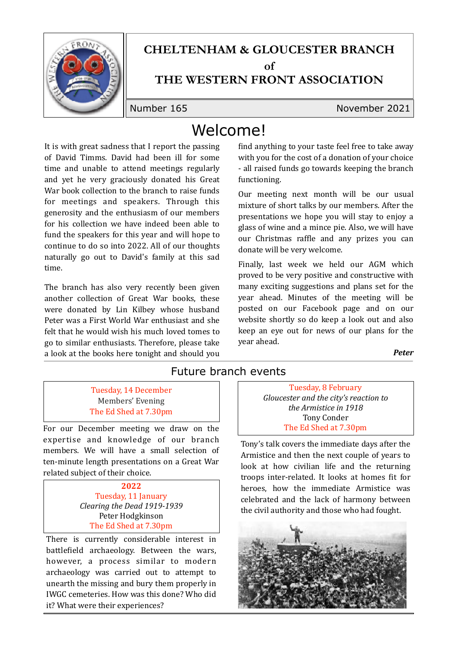

### **CHELTENHAM & GLOUCESTER BRANCH of**

# **THE WESTERN FRONT ASSOCIATION**

Number 165 November 2021

# Welcome!

It is with great sadness that I report the passing of David Timms. David had been ill for some time and unable to attend meetings regularly and yet he very graciously donated his Great War book collection to the branch to raise funds for meetings and speakers. Through this generosity and the enthusiasm of our members for his collection we have indeed been able to fund the speakers for this year and will hope to continue to do so into 2022. All of our thoughts naturally go out to David's family at this sad time.

The branch has also very recently been given another collection of Great War books, these were donated by Lin Kilbey whose husband Peter was a First World War enthusiast and she felt that he would wish his much loved tomes to go to similar enthusiasts. Therefore, please take a look at the books here tonight and should you find anything to your taste feel free to take away with you for the cost of a donation of your choice - all raised funds go towards keeping the branch functioning.

Our meeting next month will be our usual mixture of short talks by our members. After the presentations we hope you will stay to enjoy a glass of wine and a mince pie. Also, we will have our Christmas raffle and any prizes you can donate will be very welcome.

Finally, last week we held our AGM which proved to be very positive and constructive with many exciting suggestions and plans set for the year ahead. Minutes of the meeting will be posted on our Facebook page and on our website shortly so do keep a look out and also keep an eye out for news of our plans for the vear ahead.

*Peter*

#### Future branch events

Tuesday, 14 December Members' Evening The Ed Shed at 7.30pm

For our December meeting we draw on the expertise and knowledge of our branch members. We will have a small selection of ten-minute length presentations on a Great War related subject of their choice.

> **2022** Tuesday, 11 January *Clearing the Dead 1919-1939*  Peter Hodgkinson The Ed Shed at 7.30pm

There is currently considerable interest in battlefield archaeology. Between the wars, however, a process similar to modern archaeology was carried out to attempt to unearth the missing and bury them properly in IWGC cemeteries. How was this done? Who did it? What were their experiences?

Tuesday, 8 February Gloucester and the city's reaction to *the Armistice in 1918* Tony Conder The Ed Shed at 7.30pm

Tony's talk covers the immediate days after the Armistice and then the next couple of years to look at how civilian life and the returning troops inter-related. It looks at homes fit for heroes, how the immediate Armistice was celebrated and the lack of harmony between the civil authority and those who had fought.